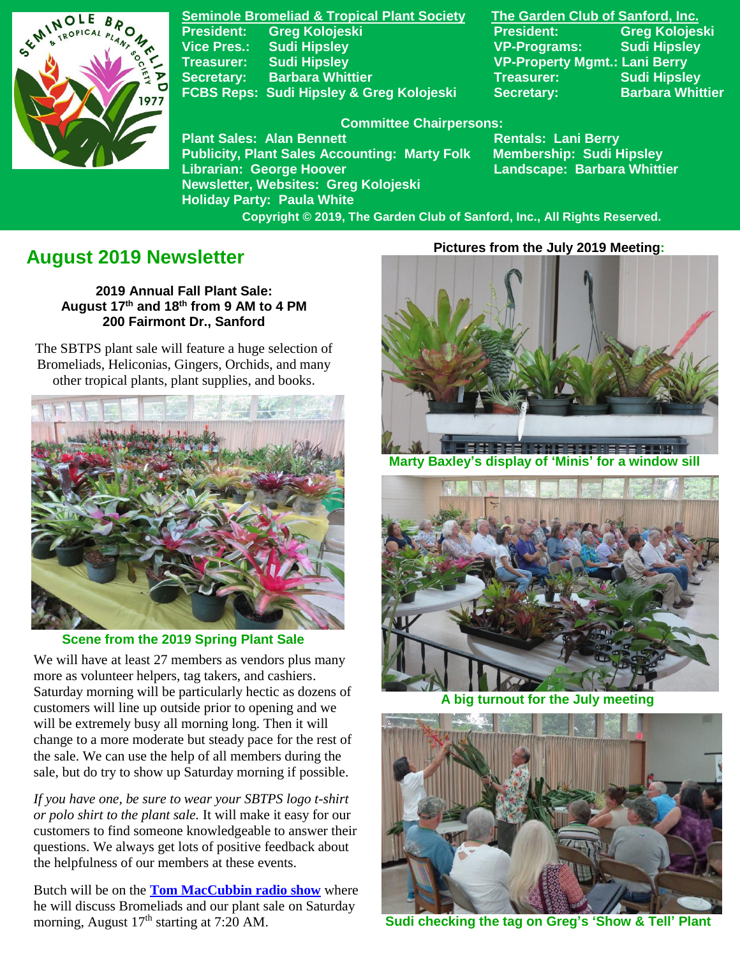

**Seminole Bromeliad & Tropical Plant Society The Garden Club of Sanford, Inc. President: Greg Kolojeski President: Greg Kolojeski Vice Pres.: Sudi Hipsley VP-Programs: Sudi Hipsley Treasurer: Sudi Hipsley VP-Property Mgmt.: Lani Berry Secretary:** Barbara Whittier **Network Secretary:** Sudi Hipsley **FCBS Reps: Sudi Hipsley & Greg Kolojeski Secretary: Barbara Whittier** 

#### **Committee Chairpersons:**

Plant Sales: Alan Bennett<br>Publicity, Plant Sales Accounting: Marty Folk Membership: Sudi Hipsley **Publicity, Plant Sales Accounting: Marty Folk Librarian: George Hoover Landscape: Barbara Whittier Newsletter, Websites: Greg Kolojeski Holiday Party: Paula White** 

 **Copyright © 2019, The Garden Club of Sanford, Inc., All Rights Reserved.**

# **August 2019 Newsletter**

**2019 Annual Fall Plant Sale: August 17 th and 18 th from 9 AM to 4 PM 200 Fairmont Dr., Sanford**

 The SBTPS plant sale will feature a huge selection of Bromeliads, Heliconias, Gingers, Orchids, and many other tropical plants, plant supplies, and books.



 **Scene from the 2019 Spring Plant Sale**

We will have at least 27 members as vendors plus many more as volunteer helpers, tag takers, and cashiers. Saturday morning will be particularly hectic as dozens of customers will line up outside prior to opening and we will be extremely busy all morning long. Then it will change to a more moderate but steady pace for the rest of the sale. We can use the help of all members during the sale, but do try to show up Saturday morning if possible.

*If you have one, be sure to wear your SBTPS logo t-shirt or polo shirt to the plant sale.* It will make it easy for our customers to find someone knowledgeable to answer their questions. We always get lots of positive feedback about the helpfulness of our members at these events.

Butch will be on the **[Tom MacCubbin radio show](http://betterlawns.com/Affiliatelist.asp)** where he will discuss Bromeliads and our plant sale on Saturday morning, August  $17<sup>th</sup>$  starting at 7:20 AM.

#### **Pictures from the July 2019 Meeting:**



 **Marty Baxley's display of 'Minis' for a window sill**



**A big turnout for the July mee** 



**Sudi checking the tag on Greg's 'Show & Tell' Plant**